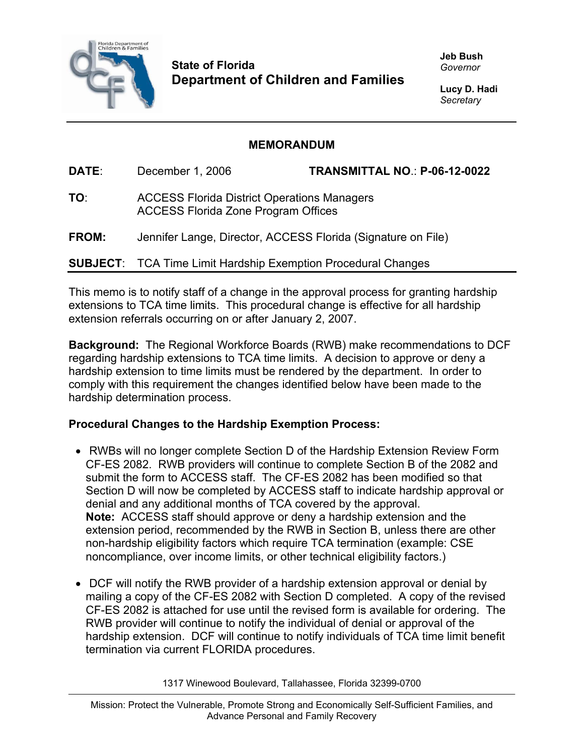

**State of Florida Department of Children and Families**  **Jeb Bush**  *Governor* 

**Lucy D. Hadi**  *Secretary* 

## **MEMORANDUM**

**DATE**: December 1, 2006 **TRANSMITTAL NO**.: **P-06-12-0022 TO**: ACCESS Florida District Operations Managers ACCESS Florida Zone Program Offices **FROM:** Jennifer Lange, Director, ACCESS Florida (Signature on File)

**SUBJECT**: TCA Time Limit Hardship Exemption Procedural Changes

This memo is to notify staff of a change in the approval process for granting hardship extensions to TCA time limits. This procedural change is effective for all hardship extension referrals occurring on or after January 2, 2007.

**Background:** The Regional Workforce Boards (RWB) make recommendations to DCF regarding hardship extensions to TCA time limits. A decision to approve or deny a hardship extension to time limits must be rendered by the department. In order to comply with this requirement the changes identified below have been made to the hardship determination process.

## **Procedural Changes to the Hardship Exemption Process:**

- RWBs will no longer complete Section D of the Hardship Extension Review Form CF-ES 2082. RWB providers will continue to complete Section B of the 2082 and submit the form to ACCESS staff. The CF-ES 2082 has been modified so that Section D will now be completed by ACCESS staff to indicate hardship approval or denial and any additional months of TCA covered by the approval. **Note:** ACCESS staff should approve or deny a hardship extension and the extension period, recommended by the RWB in Section B, unless there are other non-hardship eligibility factors which require TCA termination (example: CSE noncompliance, over income limits, or other technical eligibility factors.)
- DCF will notify the RWB provider of a hardship extension approval or denial by mailing a copy of the CF-ES 2082 with Section D completed. A copy of the revised CF-ES 2082 is attached for use until the revised form is available for ordering. The RWB provider will continue to notify the individual of denial or approval of the hardship extension. DCF will continue to notify individuals of TCA time limit benefit termination via current FLORIDA procedures.

1317 Winewood Boulevard, Tallahassee, Florida 32399-0700